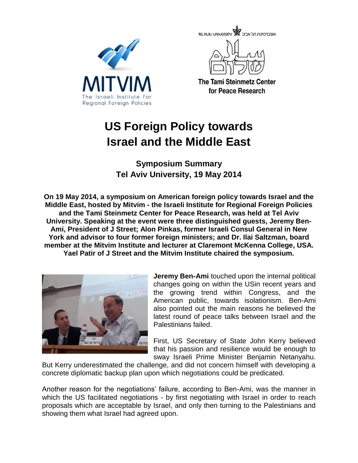





**The Tami Steinmetz Center** for Peace Research

## **US Foreign Policy towards Israel and the Middle East**

**Symposium Summary Tel Aviv University, 19 May 2014**

**On 19 May 2014, a symposium on American foreign policy towards Israel and the Middle East, hosted by Mitvim - the Israeli Institute for Regional Foreign Policies and the Tami Steinmetz Center for Peace Research, was held at Tel Aviv University. Speaking at the event were three distinguished guests, Jeremy Ben-Ami, President of J Street; Alon Pinkas, former Israeli Consul General in New York and advisor to four former foreign ministers; and Dr. Ilai Saltzman, board member at the Mitvim Institute and lecturer at Claremont McKenna College, USA. Yael Patir of J Street and the Mitvim Institute chaired the symposium.**



**Jeremy Ben-Ami** touched upon the internal political changes going on within the USin recent years and the growing trend within Congress, and the American public, towards isolationism. Ben-Ami also pointed out the main reasons he believed the latest round of peace talks between Israel and the Palestinians failed.

First, US Secretary of State John Kerry believed that his passion and resilience would be enough to sway Israeli Prime Minister Benjamin Netanyahu.

But Kerry underestimated the challenge, and did not concern himself with developing a concrete diplomatic backup plan upon which negotiations could be predicated.

Another reason for the negotiations' failure, according to Ben-Ami, was the manner in which the US facilitated negotiations - by first negotiating with Israel in order to reach proposals which are acceptable by Israel, and only then turning to the Palestinians and showing them what Israel had agreed upon.